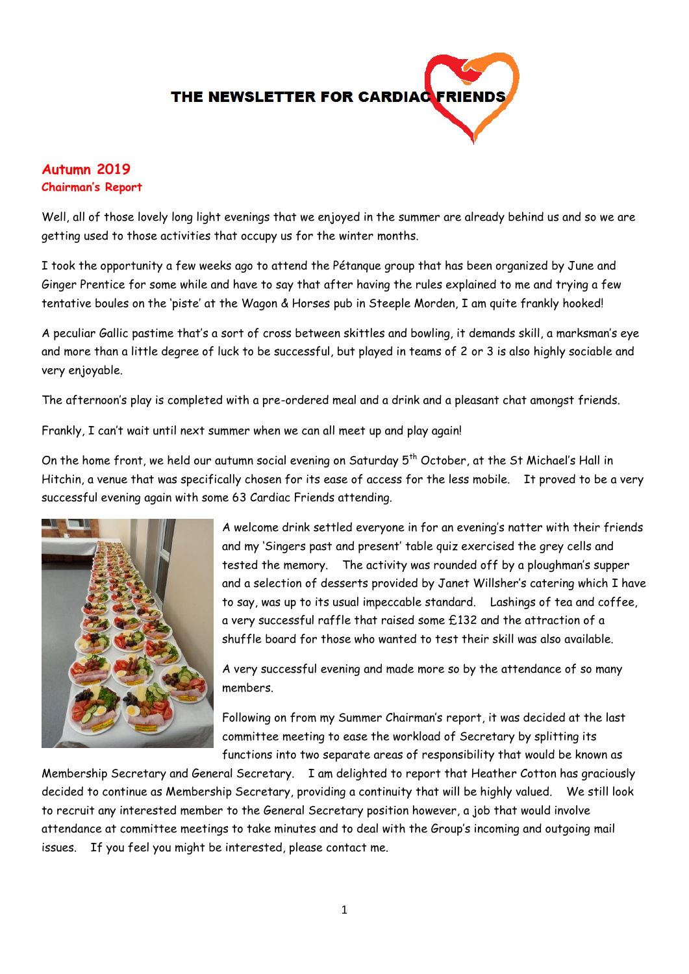

# **Autumn 2019 Chairman's Report**

Well, all of those lovely long light evenings that we enjoyed in the summer are already behind us and so we are getting used to those activities that occupy us for the winter months.

I took the opportunity a few weeks ago to attend the Pétanque group that has been organized by June and Ginger Prentice for some while and have to say that after having the rules explained to me and trying a few tentative boules on the 'piste' at the Wagon & Horses pub in Steeple Morden, I am quite frankly hooked!

A peculiar Gallic pastime that's a sort of cross between skittles and bowling, it demands skill, a marksman's eye and more than a little degree of luck to be successful, but played in teams of 2 or 3 is also highly sociable and very enjoyable.

The afternoon's play is completed with a pre-ordered meal and a drink and a pleasant chat amongst friends.

Frankly, I can't wait until next summer when we can all meet up and play again!

On the home front, we held our autumn social evening on Saturday 5<sup>th</sup> October, at the St Michael's Hall in Hitchin, a venue that was specifically chosen for its ease of access for the less mobile. It proved to be a very successful evening again with some 63 Cardiac Friends attending.



A welcome drink settled everyone in for an evening's natter with their friends and my 'Singers past and present' table quiz exercised the grey cells and tested the memory. The activity was rounded off by a ploughman's supper and a selection of desserts provided by Janet Willsher's catering which I have to say, was up to its usual impeccable standard. Lashings of tea and coffee, a very successful raffle that raised some £132 and the attraction of a shuffle board for those who wanted to test their skill was also available.

A very successful evening and made more so by the attendance of so many members.

Following on from my Summer Chairman's report, it was decided at the last committee meeting to ease the workload of Secretary by splitting its functions into two separate areas of responsibility that would be known as

Membership Secretary and General Secretary. I am delighted to report that Heather Cotton has graciously decided to continue as Membership Secretary, providing a continuity that will be highly valued. We still look to recruit any interested member to the General Secretary position however, a job that would involve attendance at committee meetings to take minutes and to deal with the Group's incoming and outgoing mail issues. If you feel you might be interested, please contact me.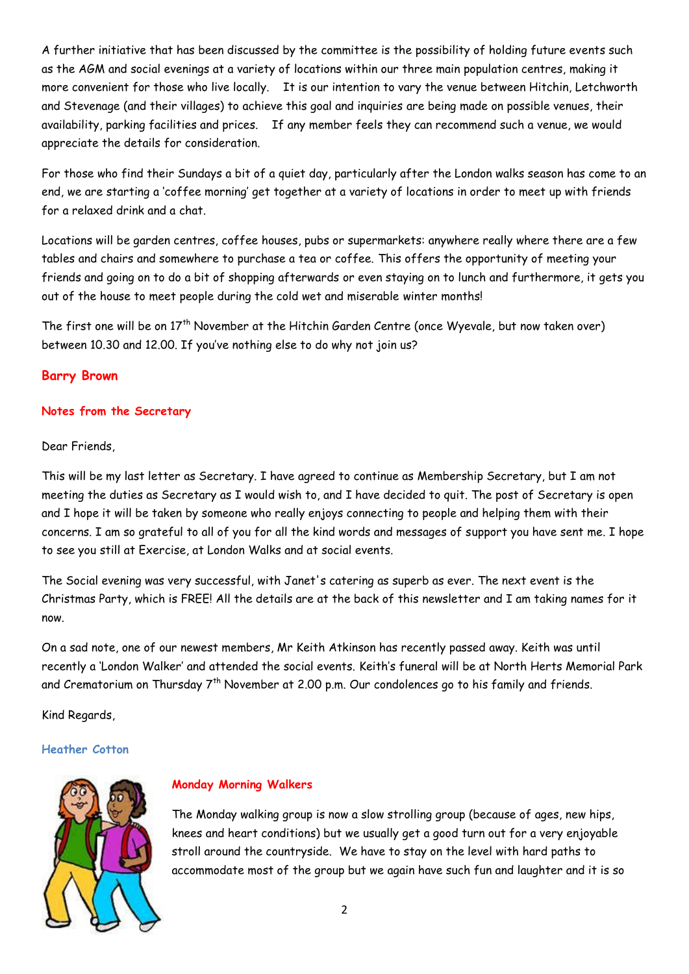A further initiative that has been discussed by the committee is the possibility of holding future events such as the AGM and social evenings at a variety of locations within our three main population centres, making it more convenient for those who live locally. It is our intention to vary the venue between Hitchin, Letchworth and Stevenage (and their villages) to achieve this goal and inquiries are being made on possible venues, their availability, parking facilities and prices. If any member feels they can recommend such a venue, we would appreciate the details for consideration.

For those who find their Sundays a bit of a quiet day, particularly after the London walks season has come to an end, we are starting a 'coffee morning' get together at a variety of locations in order to meet up with friends for a relaxed drink and a chat.

Locations will be garden centres, coffee houses, pubs or supermarkets: anywhere really where there are a few tables and chairs and somewhere to purchase a tea or coffee. This offers the opportunity of meeting your friends and going on to do a bit of shopping afterwards or even staying on to lunch and furthermore, it gets you out of the house to meet people during the cold wet and miserable winter months!

The first one will be on 17<sup>th</sup> November at the Hitchin Garden Centre (once Wyevale, but now taken over) between 10.30 and 12.00. If you've nothing else to do why not join us?

# **Barry Brown**

## **Notes from the Secretary**

Dear Friends,

This will be my last letter as Secretary. I have agreed to continue as Membership Secretary, but I am not meeting the duties as Secretary as I would wish to, and I have decided to quit. The post of Secretary is open and I hope it will be taken by someone who really enjoys connecting to people and helping them with their concerns. I am so grateful to all of you for all the kind words and messages of support you have sent me. I hope to see you still at Exercise, at London Walks and at social events.

The Social evening was very successful, with Janet's catering as superb as ever. The next event is the Christmas Party, which is FREE! All the details are at the back of this newsletter and I am taking names for it now.

On a sad note, one of our newest members, Mr Keith Atkinson has recently passed away. Keith was until recently a 'London Walker' and attended the social events. Keith's funeral will be at North Herts Memorial Park and Crematorium on Thursday 7<sup>th</sup> November at 2.00 p.m. Our condolences go to his family and friends.

Kind Regards,

# **Heather Cotton**



# **Monday Morning Walkers**

The Monday walking group is now a slow strolling group (because of ages, new hips, knees and heart conditions) but we usually get a good turn out for a very enjoyable stroll around the countryside. We have to stay on the level with hard paths to accommodate most of the group but we again have such fun and laughter and it is so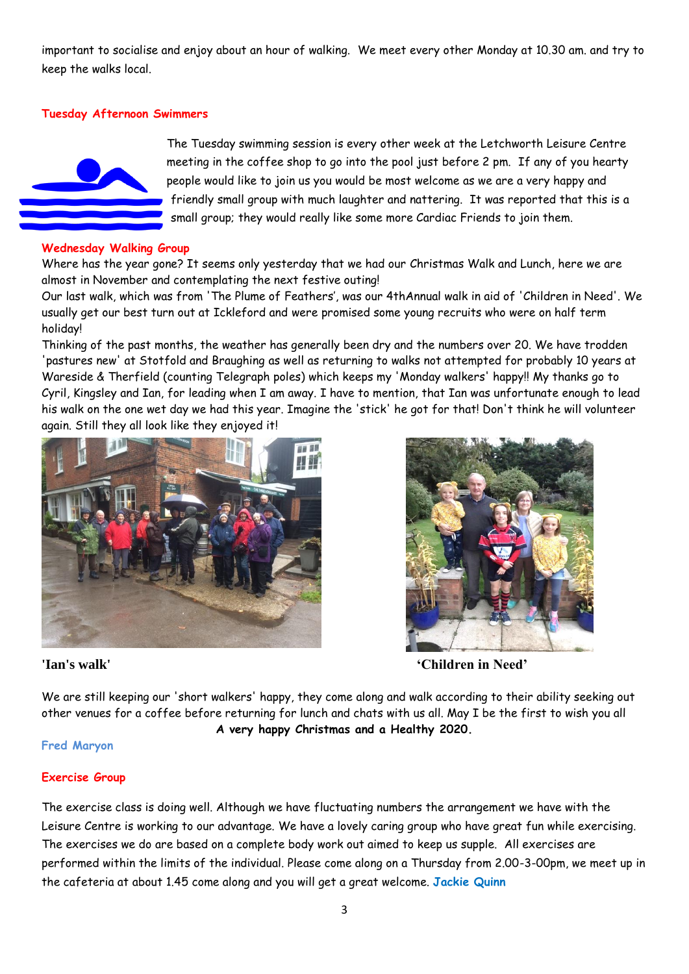important to socialise and enjoy about an hour of walking. We meet every other Monday at 10.30 am. and try to keep the walks local.

# **Tuesday Afternoon Swimmers**



The Tuesday swimming session is every other week at the Letchworth Leisure Centre meeting in the coffee shop to go into the pool just before 2 pm. If any of you hearty people would like to join us you would be most welcome as we are a very happy and friendly small group with much laughter and nattering. It was reported that this is a small group; they would really like some more Cardiac Friends to join them.

## **Wednesday Walking Group**

Where has the year gone? It seems only yesterday that we had our Christmas Walk and Lunch, here we are almost in November and contemplating the next festive outing!

Our last walk, which was from 'The Plume of Feathers', was our 4thAnnual walk in aid of 'Children in Need'. We usually get our best turn out at Ickleford and were promised some young recruits who were on half term holiday!

Thinking of the past months, the weather has generally been dry and the numbers over 20. We have trodden 'pastures new' at Stotfold and Braughing as well as returning to walks not attempted for probably 10 years at Wareside & Therfield (counting Telegraph poles) which keeps my 'Monday walkers' happy!! My thanks go to Cyril, Kingsley and Ian, for leading when I am away. I have to mention, that Ian was unfortunate enough to lead his walk on the one wet day we had this year. Imagine the 'stick' he got for that! Don't think he will volunteer again. Still they all look like they enjoyed it!





**'Ian's walk' 'Children in Need'**

We are still keeping our 'short walkers' happy, they come along and walk according to their ability seeking out other venues for a coffee before returning for lunch and chats with us all. May I be the first to wish you all **A very happy Christmas and a Healthy 2020.**

### **Fred Maryon**

### **Exercise Group**

The exercise class is doing well. Although we have fluctuating numbers the arrangement we have with the Leisure Centre is working to our advantage. We have a lovely caring group who have great fun while exercising. The exercises we do are based on a complete body work out aimed to keep us supple. All exercises are performed within the limits of the individual. Please come along on a Thursday from 2.00-3-00pm, we meet up in the cafeteria at about 1.45 come along and you will get a great welcome. **Jackie Quinn**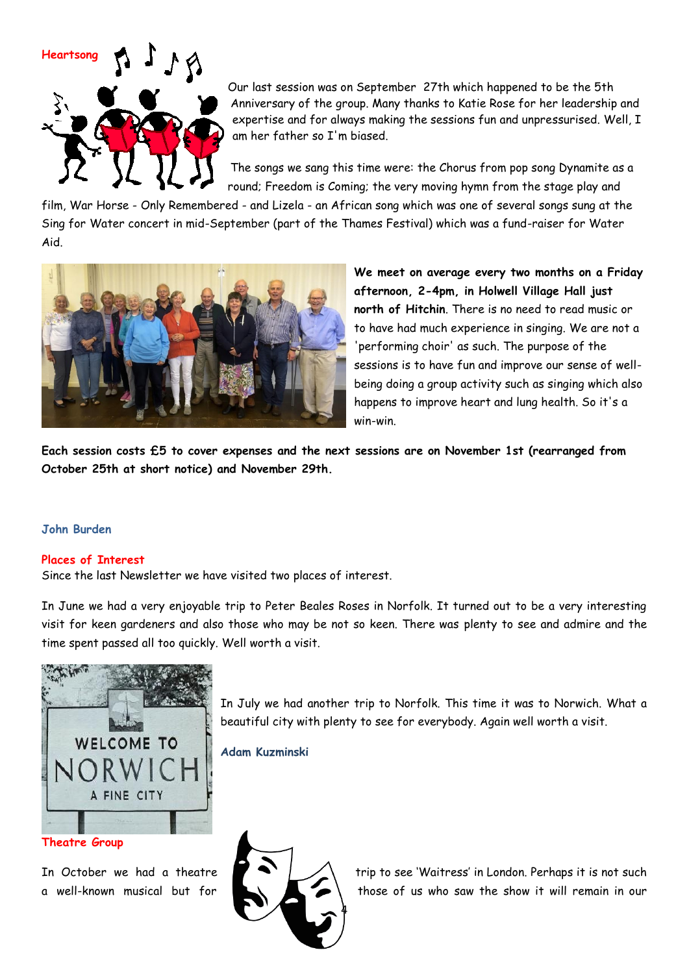

Our last session was on September 27th which happened to be the 5th Anniversary of the group. Many thanks to Katie Rose for her leadership and expertise and for always making the sessions fun and unpressurised. Well, I am her father so I'm biased.

The songs we sang this time were: the Chorus from pop song Dynamite as a round; Freedom is Coming; the very moving hymn from the stage play and

film, War Horse - Only Remembered - and Lizela - an African song which was one of several songs sung at the Sing for Water concert in mid-September (part of the Thames Festival) which was a fund-raiser for Water Aid.



**We meet on average every two months on a Friday afternoon, 2-4pm, in Holwell Village Hall just north of Hitchin**. There is no need to read music or to have had much experience in singing. We are not a 'performing choir' as such. The purpose of the sessions is to have fun and improve our sense of wellbeing doing a group activity such as singing which also happens to improve heart and lung health. So it's a win-win.

**Each session costs £5 to cover expenses and the next sessions are on November 1st (rearranged from October 25th at short notice) and November 29th.**

### **John Burden**

#### **Places of Interest**

Since the last Newsletter we have visited two places of interest.

In June we had a very enjoyable trip to Peter Beales Roses in Norfolk. It turned out to be a very interesting visit for keen gardeners and also those who may be not so keen. There was plenty to see and admire and the time spent passed all too quickly. Well worth a visit.



**Theatre Group** 

In July we had another trip to Norfolk. This time it was to Norwich. What a beautiful city with plenty to see for everybody. Again well worth a visit.

**Adam Kuzminski**



In October we had a theatre  $\blacksquare$   $\blacktriangle$   $\blacktriangle$   $\blacktriangle$  trip to see 'Waitress' in London. Perhaps it is not such a well-known musical but for  $\Box$   $\Box$  those of us who saw the show it will remain in our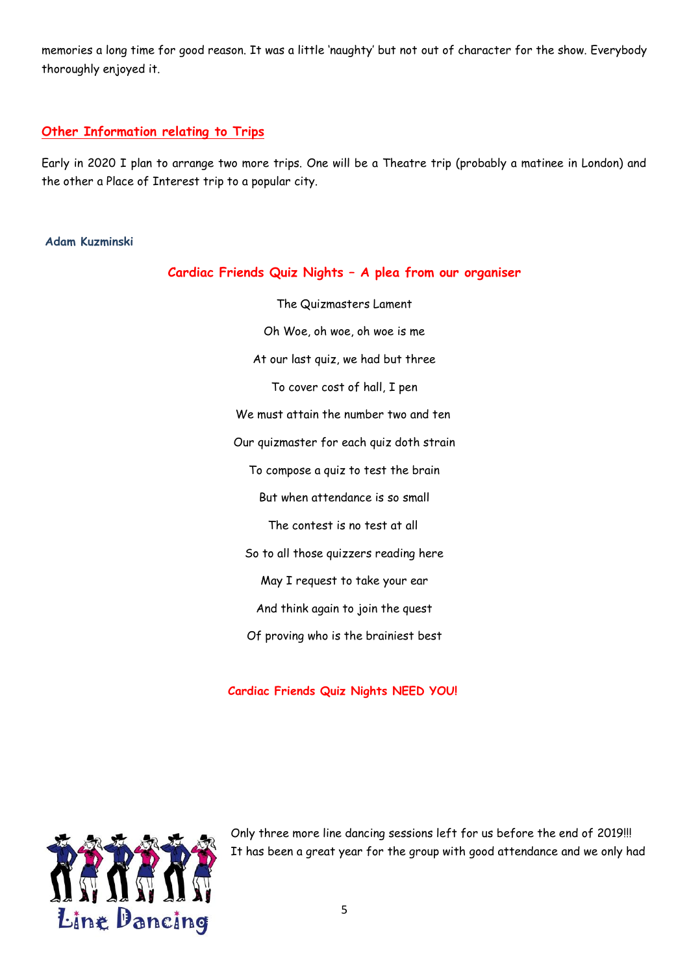memories a long time for good reason. It was a little 'naughty' but not out of character for the show. Everybody thoroughly enjoyed it.

# **Other Information relating to Trips**

Early in 2020 I plan to arrange two more trips. One will be a Theatre trip (probably a matinee in London) and the other a Place of Interest trip to a popular city.

## **Adam Kuzminski**

|  |  |  |  |  |  |  |  | Cardiac Friends Quiz Nights - A plea from our organiser |
|--|--|--|--|--|--|--|--|---------------------------------------------------------|
|--|--|--|--|--|--|--|--|---------------------------------------------------------|

The Quizmasters Lament Oh Woe, oh woe, oh woe is me At our last quiz, we had but three To cover cost of hall, I pen We must attain the number two and ten Our quizmaster for each quiz doth strain To compose a quiz to test the brain But when attendance is so small The contest is no test at all So to all those quizzers reading here May I request to take your ear And think again to join the quest Of proving who is the brainiest best

**Cardiac Friends Quiz Nights NEED YOU!**



Only three more line dancing sessions left for us before the end of 2019!!! It has been a great year for the group with good attendance and we only had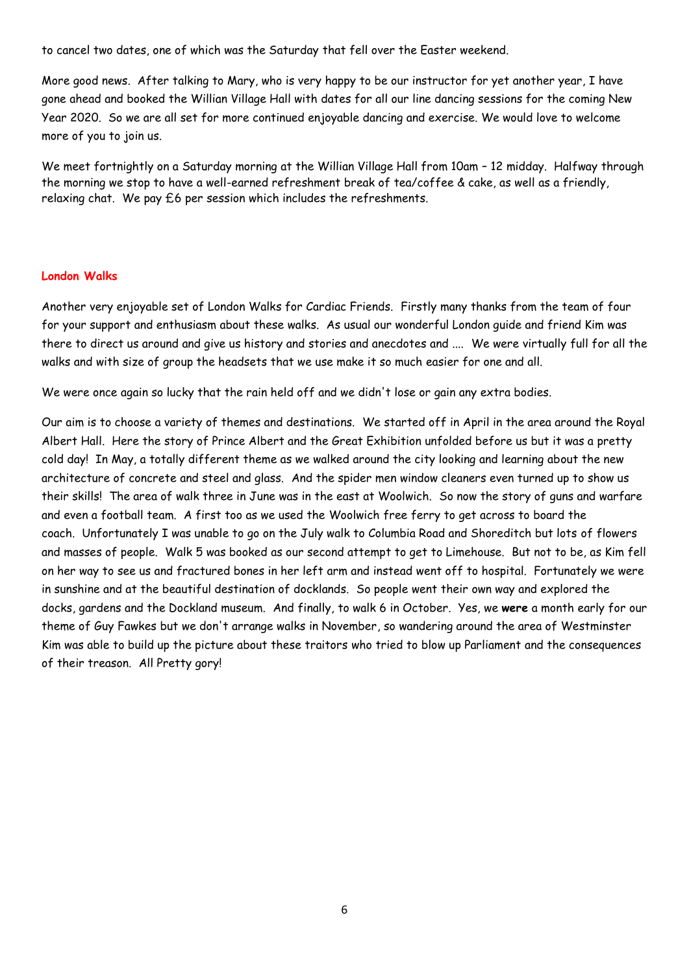to cancel two dates, one of which was the Saturday that fell over the Easter weekend.

More good news. After talking to Mary, who is very happy to be our instructor for yet another year, I have gone ahead and booked the Willian Village Hall with dates for all our line dancing sessions for the coming New Year 2020. So we are all set for more continued enjoyable dancing and exercise. We would love to welcome more of you to join us.

We meet fortnightly on a Saturday morning at the Willian Village Hall from 10am – 12 midday. Halfway through the morning we stop to have a well-earned refreshment break of tea/coffee & cake, as well as a friendly, relaxing chat. We pay £6 per session which includes the refreshments.

# **London Walks**

Another very enjoyable set of London Walks for Cardiac Friends. Firstly many thanks from the team of four for your support and enthusiasm about these walks. As usual our wonderful London guide and friend Kim was there to direct us around and give us history and stories and anecdotes and .... We were virtually full for all the walks and with size of group the headsets that we use make it so much easier for one and all.

We were once again so lucky that the rain held off and we didn't lose or gain any extra bodies.

Our aim is to choose a variety of themes and destinations. We started off in April in the area around the Royal Albert Hall. Here the story of Prince Albert and the Great Exhibition unfolded before us but it was a pretty cold day! In May, a totally different theme as we walked around the city looking and learning about the new architecture of concrete and steel and glass. And the spider men window cleaners even turned up to show us their skills! The area of walk three in June was in the east at Woolwich. So now the story of guns and warfare and even a football team. A first too as we used the Woolwich free ferry to get across to board the coach. Unfortunately I was unable to go on the July walk to Columbia Road and Shoreditch but lots of flowers and masses of people. Walk 5 was booked as our second attempt to get to Limehouse. But not to be, as Kim fell on her way to see us and fractured bones in her left arm and instead went off to hospital. Fortunately we were in sunshine and at the beautiful destination of docklands. So people went their own way and explored the docks, gardens and the Dockland museum. And finally, to walk 6 in October. Yes, we **were** a month early for our theme of Guy Fawkes but we don't arrange walks in November, so wandering around the area of Westminster Kim was able to build up the picture about these traitors who tried to blow up Parliament and the consequences of their treason. All Pretty gory!